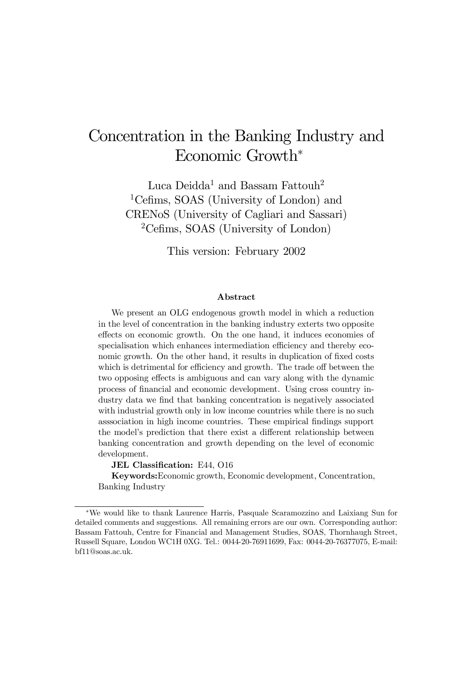# Concentration in the Banking Industry and Economic Growth<sup>∗</sup>

Luca Deidda<sup>1</sup> and Bassam Fattouh<sup>2</sup> 1Cefims, SOAS (University of London) and CRENoS (University of Cagliari and Sassari) 2Cefims, SOAS (University of London)

This version: February 2002

# Abstract

We present an OLG endogenous growth model in which a reduction in the level of concentration in the banking industry exterts two opposite effects on economic growth. On the one hand, it induces economies of specialisation which enhances intermediation efficiency and thereby economic growth. On the other hand, it results in duplication of fixed costs which is detrimental for efficiency and growth. The trade off between the two opposing effects is ambiguous and can vary along with the dynamic process of financial and economic development. Using cross country industry data we find that banking concentration is negatively associated with industrial growth only in low income countries while there is no such asssociation in high income countries. These empirical findings support the model's prediction that there exist a different relationship between banking concentration and growth depending on the level of economic development.

JEL Classification: E44, O16

Keywords:Economic growth, Economic development, Concentration, Banking Industry

<sup>∗</sup>We would like to thank Laurence Harris, Pasquale Scaramozzino and Laixiang Sun for detailed comments and suggestions. All remaining errors are our own. Corresponding author: Bassam Fattouh, Centre for Financial and Management Studies, SOAS, Thornhaugh Street, Russell Square, London WC1H 0XG. Tel.: 0044-20-76911699, Fax: 0044-20-76377075, E-mail: bf11@soas.ac.uk.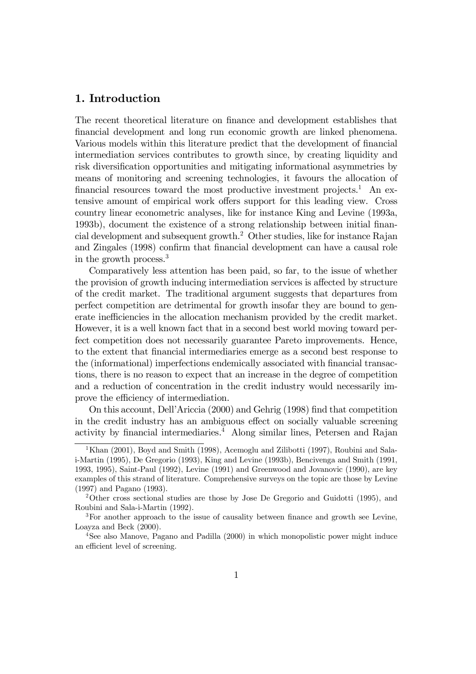# 1. Introduction

The recent theoretical literature on finance and development establishes that financial development and long run economic growth are linked phenomena. Various models within this literature predict that the development of financial intermediation services contributes to growth since, by creating liquidity and risk diversification opportunities and mitigating informational asymmetries by means of monitoring and screening technologies, it favours the allocation of financial resources toward the most productive investment projects.<sup>1</sup> An extensive amount of empirical work offers support for this leading view. Cross country linear econometric analyses, like for instance King and Levine (1993a, 1993b), document the existence of a strong relationship between initial financial development and subsequent growth.2 Other studies, like for instance Rajan and Zingales (1998) confirm that financial development can have a causal role in the growth process.3

Comparatively less attention has been paid, so far, to the issue of whether the provision of growth inducing intermediation services is affected by structure of the credit market. The traditional argument suggests that departures from perfect competition are detrimental for growth insofar they are bound to generate inefficiencies in the allocation mechanism provided by the credit market. However, it is a well known fact that in a second best world moving toward perfect competition does not necessarily guarantee Pareto improvements. Hence, to the extent that financial intermediaries emerge as a second best response to the (informational) imperfections endemically associated with financial transactions, there is no reason to expect that an increase in the degree of competition and a reduction of concentration in the credit industry would necessarily improve the efficiency of intermediation.

On this account, DellíAriccia (2000) and Gehrig (1998) find that competition in the credit industry has an ambiguous effect on socially valuable screening activity by financial intermediaries.4 Along similar lines, Petersen and Rajan

 $1$ Khan (2001), Boyd and Smith (1998), Acemoglu and Zilibotti (1997), Roubini and Salai-Martin (1995), De Gregorio (1993), King and Levine (1993b), Bencivenga and Smith (1991, 1993, 1995), Saint-Paul (1992), Levine (1991) and Greenwood and Jovanovic (1990), are key examples of this strand of literature. Comprehensive surveys on the topic are those by Levine (1997) and Pagano (1993).

<sup>2</sup>Other cross sectional studies are those by Jose De Gregorio and Guidotti (1995), and Roubini and Sala-i-Martin (1992).

<sup>&</sup>lt;sup>3</sup>For another approach to the issue of causality between finance and growth see Levine, Loayza and Beck (2000).

<sup>4</sup>See also Manove, Pagano and Padilla (2000) in which monopolistic power might induce an efficient level of screening.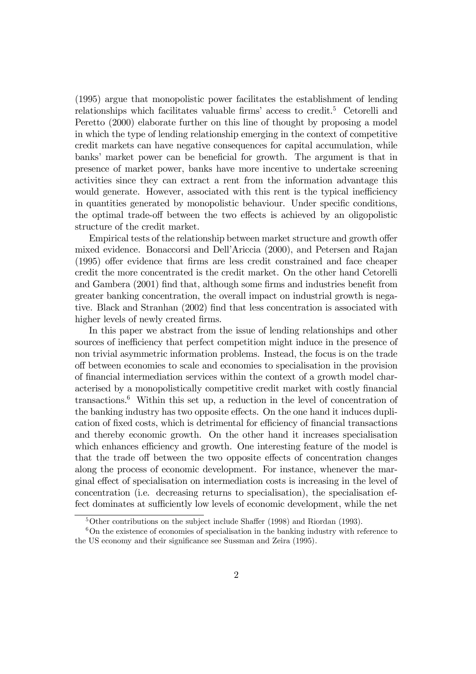(1995) argue that monopolistic power facilitates the establishment of lending relationships which facilitates valuable firms' access to credit.<sup>5</sup> Cetorelli and Peretto (2000) elaborate further on this line of thought by proposing a model in which the type of lending relationship emerging in the context of competitive credit markets can have negative consequences for capital accumulation, while banks' market power can be beneficial for growth. The argument is that in presence of market power, banks have more incentive to undertake screening activities since they can extract a rent from the information advantage this would generate. However, associated with this rent is the typical inefficiency in quantities generated by monopolistic behaviour. Under specific conditions, the optimal trade-off between the two effects is achieved by an oligopolistic structure of the credit market.

Empirical tests of the relationship between market structure and growth offer mixed evidence. Bonaccorsi and DellíAriccia (2000), and Petersen and Rajan (1995) offer evidence that firms are less credit constrained and face cheaper credit the more concentrated is the credit market. On the other hand Cetorelli and Gambera (2001) find that, although some firms and industries benefit from greater banking concentration, the overall impact on industrial growth is negative. Black and Stranhan (2002) find that less concentration is associated with higher levels of newly created firms.

In this paper we abstract from the issue of lending relationships and other sources of inefficiency that perfect competition might induce in the presence of non trivial asymmetric information problems. Instead, the focus is on the trade off between economies to scale and economies to specialisation in the provision of financial intermediation services within the context of a growth model characterised by a monopolistically competitive credit market with costly financial transactions.6 Within this set up, a reduction in the level of concentration of the banking industry has two opposite effects. On the one hand it induces duplication of fixed costs, which is detrimental for efficiency of financial transactions and thereby economic growth. On the other hand it increases specialisation which enhances efficiency and growth. One interesting feature of the model is that the trade off between the two opposite effects of concentration changes along the process of economic development. For instance, whenever the marginal effect of specialisation on intermediation costs is increasing in the level of concentration (i.e. decreasing returns to specialisation), the specialisation effect dominates at sufficiently low levels of economic development, while the net

 $5$ Other contributions on the subject include Shaffer (1998) and Riordan (1993).

<sup>6</sup>On the existence of economies of specialisation in the banking industry with reference to the US economy and their significance see Sussman and Zeira (1995).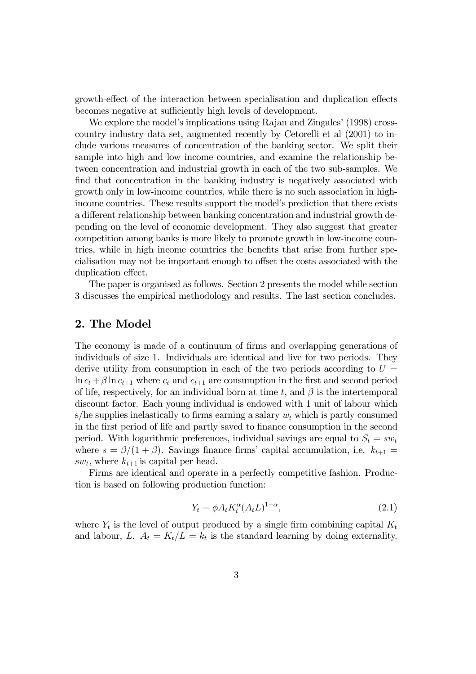growth-effect of the interaction between specialisation and duplication effects becomes negative at sufficiently high levels of development.

We explore the model's implications using Rajan and Zingales' (1998) crosscountry industry data set, augmented recently by Cetorelli et al (2001) to include various measures of concentration of the banking sector. We split their sample into high and low income countries, and examine the relationship between concentration and industrial growth in each of the two sub-samples. We find that concentration in the banking industry is negatively associated with growth only in low-income countries, while there is no such association in highincome countries. These results support the model's prediction that there exists a different relationship between banking concentration and industrial growth depending on the level of economic development. They also suggest that greater competition among banks is more likely to promote growth in low-income countries, while in high income countries the benefits that arise from further specialisation may not be important enough to offset the costs associated with the duplication effect.

The paper is organised as follows. Section 2 presents the model while section 3 discusses the empirical methodology and results. The last section concludes.

# 2. The Model

The economy is made of a continuum of firms and overlapping generations of individuals of size 1. Individuals are identical and live for two periods. They derive utility from consumption in each of the two periods according to  $U =$  $\ln c_t + \beta \ln c_{t+1}$  where  $c_t$  and  $c_{t+1}$  are consumption in the first and second period of life, respectively, for an individual born at time t, and  $\beta$  is the intertemporal discount factor. Each young individual is endowed with 1 unit of labour which s/he supplies inelastically to firms earning a salary  $w_t$  which is partly consumed in the first period of life and partly saved to finance consumption in the second period. With logarithmic preferences, individual savings are equal to  $S_t = sw_t$ where  $s = \beta/(1 + \beta)$ . Savings finance firms' capital accumulation, i.e.  $k_{t+1} =$  $sw_t$ , where  $k_{t+1}$  is capital per head.

Firms are identical and operate in a perfectly competitive fashion. Production is based on following production function:

$$
Y_t = \phi A_t K_t^{\alpha} (A_t L)^{1-\alpha}, \qquad (2.1)
$$

where  $Y_t$  is the level of output produced by a single firm combining capital  $K_t$ and labour, L.  $A_t = K_t/L = k_t$  is the standard learning by doing externality.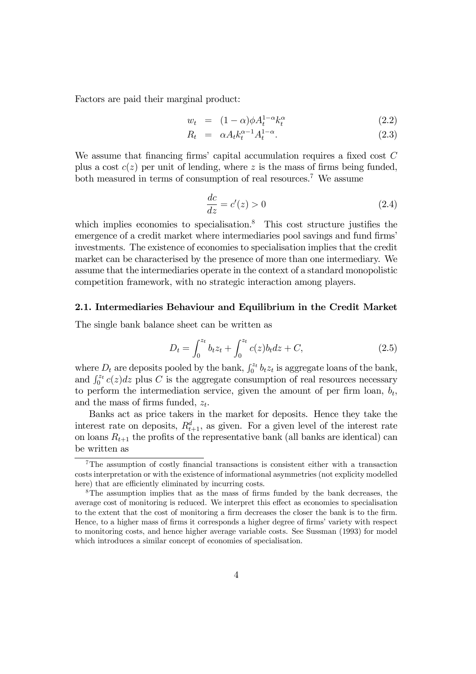Factors are paid their marginal product:

$$
w_t = (1 - \alpha)\phi A_t^{1 - \alpha} k_t^{\alpha} \tag{2.2}
$$

$$
R_t = \alpha A_t k_t^{\alpha - 1} A_t^{1 - \alpha}.
$$
\n(2.3)

We assume that financing firms' capital accumulation requires a fixed cost  $C$ plus a cost  $c(z)$  per unit of lending, where z is the mass of firms being funded, both measured in terms of consumption of real resources.<sup>7</sup> We assume

$$
\frac{dc}{dz} = c'(z) > 0\tag{2.4}
$$

which implies economies to specialisation.<sup>8</sup> This cost structure justifies the emergence of a credit market where intermediaries pool savings and fund firms' investments. The existence of economies to specialisation implies that the credit market can be characterised by the presence of more than one intermediary. We assume that the intermediaries operate in the context of a standard monopolistic competition framework, with no strategic interaction among players.

## 2.1. Intermediaries Behaviour and Equilibrium in the Credit Market

The single bank balance sheet can be written as

$$
D_t = \int_0^{z_t} b_t z_t + \int_0^{z_t} c(z) b_t dz + C,
$$
\n(2.5)

where  $D_t$  are deposits pooled by the bank,  $\int_0^{z_t} b_t z_t$  is aggregate loans of the bank, and  $\int_0^{z_t} c(z) dz$  plus C is the aggregate consumption of real resources necessary to perform the intermediation service, given the amount of per firm loan,  $b_t$ , and the mass of firms funded,  $z_t$ .

Banks act as price takers in the market for deposits. Hence they take the interest rate on deposits,  $R_{t+1}^d$ , as given. For a given level of the interest rate on loans  $R_{t+1}$  the profits of the representative bank (all banks are identical) can be written as

<sup>7</sup>The assumption of costly financial transactions is consistent either with a transaction costs interpretation or with the existence of informational asymmetries (not explicity modelled here) that are efficiently eliminated by incurring costs.

<sup>8</sup>The assumption implies that as the mass of firms funded by the bank decreases, the average cost of monitoring is reduced. We interpret this effect as economies to specialisation to the extent that the cost of monitoring a firm decreases the closer the bank is to the firm. Hence, to a higher mass of firms it corresponds a higher degree of firms' variety with respect to monitoring costs, and hence higher average variable costs. See Sussman (1993) for model which introduces a similar concept of economies of specialisation.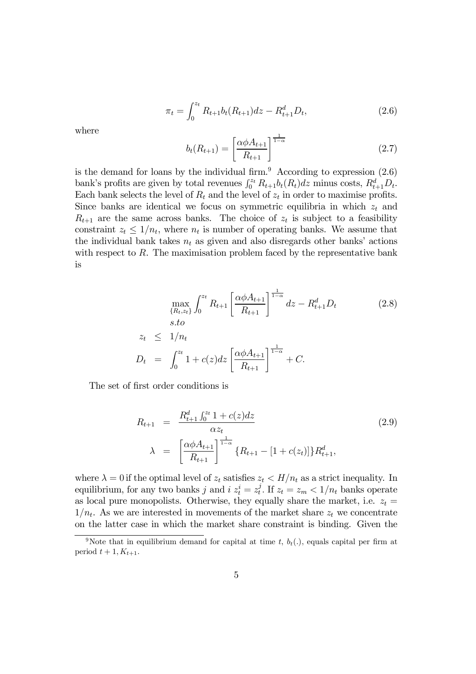$$
\pi_t = \int_0^{z_t} R_{t+1} b_t (R_{t+1}) dz - R_{t+1}^d D_t, \qquad (2.6)
$$

where

$$
b_t(R_{t+1}) = \left[\frac{\alpha \phi A_{t+1}}{R_{t+1}}\right]^{\frac{1}{1-\alpha}}
$$
\n(2.7)

is the demand for loans by the individual firm.<sup>9</sup> According to expression  $(2.6)$ bank's profits are given by total revenues  $\int_0^{z_t} R_{t+1} b_t(R_t) dz$  minus costs,  $R_{t+1}^d D_t$ . Each bank selects the level of  $R_t$  and the level of  $z_t$  in order to maximise profits. Since banks are identical we focus on symmetric equilibria in which  $z_t$  and  $R_{t+1}$  are the same across banks. The choice of  $z_t$  is subject to a feasibility constraint  $z_t \leq 1/n_t$ , where  $n_t$  is number of operating banks. We assume that the individual bank takes  $n_t$  as given and also disregards other banks' actions with respect to  $R$ . The maximisation problem faced by the representative bank is

$$
\max_{\{R_t, z_t\}} \int_0^{z_t} R_{t+1} \left[ \frac{\alpha \phi A_{t+1}}{R_{t+1}} \right]^{\frac{1}{1-\alpha}} dz - R_{t+1}^d D_t
$$
\n
$$
z_t \le 1/n_t
$$
\n
$$
D_t = \int_0^{z_t} 1 + c(z) dz \left[ \frac{\alpha \phi A_{t+1}}{R_{t+1}} \right]^{\frac{1}{1-\alpha}} + C.
$$
\n(2.8)

The set of first order conditions is

$$
R_{t+1} = \frac{R_{t+1}^d \int_0^{z_t} 1 + c(z) dz}{\alpha z_t}
$$
  
\n
$$
\lambda = \left[ \frac{\alpha \phi A_{t+1}}{R_{t+1}} \right]_0^{\frac{1}{1-\alpha}} \{R_{t+1} - [1 + c(z_t)]\} R_{t+1}^d,
$$
\n(2.9)

where  $\lambda = 0$  if the optimal level of  $z_t$  satisfies  $z_t < H/n_t$  as a strict inequality. In equilibrium, for any two banks j and  $i z_t^i = z_t^j$ . If  $z_t = z_m < 1/n_t$  banks operate as local pure monopolists. Otherwise, they equally share the market, i.e.  $z_t =$  $1/n_t$ . As we are interested in movements of the market share  $z_t$  we concentrate on the latter case in which the market share constraint is binding. Given the

<sup>&</sup>lt;sup>9</sup>Note that in equilibrium demand for capital at time t,  $b_t(.)$ , equals capital per firm at period  $t + 1, K_{t+1}$ .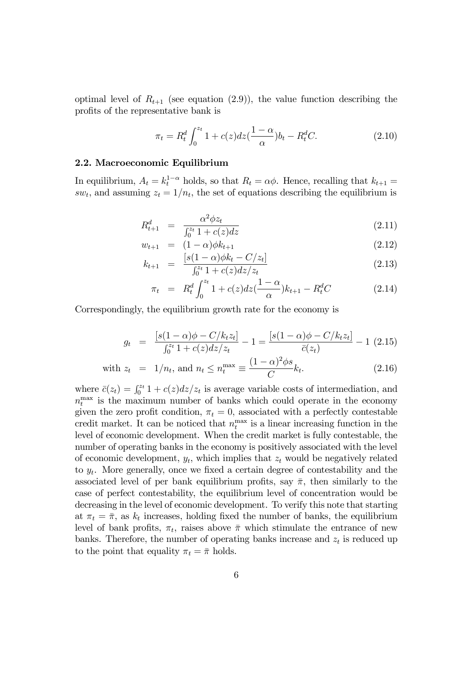optimal level of  $R_{t+1}$  (see equation (2.9)), the value function describing the profits of the representative bank is

$$
\pi_t = R_t^d \int_0^{z_t} 1 + c(z) dz \left(\frac{1 - \alpha}{\alpha}\right) b_t - R_t^d C.
$$
 (2.10)

#### 2.2. Macroeconomic Equilibrium

In equilibrium,  $A_t = k_t^{1-\alpha}$  holds, so that  $R_t = \alpha \phi$ . Hence, recalling that  $k_{t+1} =$ sw<sub>t</sub>, and assuming  $z_t = 1/n_t$ , the set of equations describing the equilibrium is

$$
R_{t+1}^d = \frac{\alpha^2 \phi z_t}{\int_0^{z_t} 1 + c(z) dz} \tag{2.11}
$$

$$
w_{t+1} = (1 - \alpha)\phi k_{t+1} \tag{2.12}
$$

$$
k_{t+1} = \frac{[s(1-\alpha)\phi k_t - C/z_t]}{\int_0^{z_t} 1 + c(z)dz/z_t}
$$
\n(2.13)

$$
\pi_t = R_t^d \int_0^{z_t} 1 + c(z) dz \left(\frac{1 - \alpha}{\alpha}\right) k_{t+1} - R_t^d C \tag{2.14}
$$

Correspondingly, the equilibrium growth rate for the economy is

$$
g_t = \frac{[s(1-\alpha)\phi - C/k_t z_t]}{\int_0^{z_t} 1 + c(z)dz/z_t} - 1 = \frac{[s(1-\alpha)\phi - C/k_t z_t]}{\bar{c}(z_t)} - 1
$$
 (2.15)

with 
$$
z_t = 1/n_t
$$
, and  $n_t \le n_t^{\max} \equiv \frac{(1-\alpha)^2 \phi s}{C} k_t$ . (2.16)

where  $\bar{c}(z_t) = \int_0^{z_t} 1 + c(z)dz/z_t$  is average variable costs of intermediation, and  $n_t^{\text{max}}$  is the maximum number of banks which could operate in the economy given the zero profit condition,  $\pi_t = 0$ , associated with a perfectly contestable credit market. It can be noticed that  $n_t^{\max}$  is a linear increasing function in the level of economic development. When the credit market is fully contestable, the number of operating banks in the economy is positively associated with the level of economic development,  $y_t$ , which implies that  $z_t$  would be negatively related to  $y_t$ . More generally, once we fixed a certain degree of contestability and the associated level of per bank equilibrium profits, say  $\bar{\pi}$ , then similarly to the case of perfect contestability, the equilibrium level of concentration would be decreasing in the level of economic development. To verify this note that starting at  $\pi_t = \bar{\pi}$ , as  $k_t$  increases, holding fixed the number of banks, the equilibrium level of bank profits,  $\pi_t$ , raises above  $\bar{\pi}$  which stimulate the entrance of new banks. Therefore, the number of operating banks increase and  $z_t$  is reduced up to the point that equality  $\pi_t = \bar{\pi}$  holds.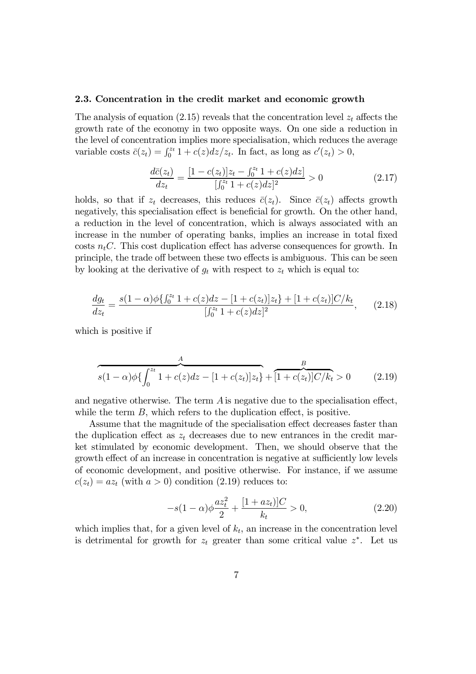## 2.3. Concentration in the credit market and economic growth

The analysis of equation (2.15) reveals that the concentration level  $z_t$  affects the growth rate of the economy in two opposite ways. On one side a reduction in the level of concentration implies more specialisation, which reduces the average variable costs  $\bar{c}(z_t) = \int_0^{z_t} 1 + c(z) dz/z_t$ . In fact, as long as  $c'(z_t) > 0$ ,

$$
\frac{d\bar{c}(z_t)}{dz_t} = \frac{[1 - c(z_t)]z_t - \int_0^{z_t} 1 + c(z)dz]}{[\int_0^{z_t} 1 + c(z)dz]^2} > 0
$$
\n(2.17)

holds, so that if  $z_t$  decreases, this reduces  $\bar{c}(z_t)$ . Since  $\bar{c}(z_t)$  affects growth negatively, this specialisation effect is beneficial for growth. On the other hand, a reduction in the level of concentration, which is always associated with an increase in the number of operating banks, implies an increase in total fixed costs  $n_t C$ . This cost duplication effect has adverse consequences for growth. In principle, the trade off between these two effects is ambiguous. This can be seen by looking at the derivative of  $g_t$  with respect to  $z_t$  which is equal to:

$$
\frac{dg_t}{dz_t} = \frac{s(1-\alpha)\phi\{\int_0^{z_t} 1 + c(z)dz - [1 + c(z_t)]z_t\} + [1 + c(z_t)]C/k_t}{[\int_0^{z_t} 1 + c(z)dz]^2},
$$
(2.18)

which is positive if

$$
s(1-\alpha)\phi\left\{\int_0^{z_t} 1 + c(z)dz - [1 + c(z_t)]z_t\right\} + \overbrace{[1 + c(z_t)]C/k_t}^B > 0 \tag{2.19}
$$

and negative otherwise. The term A is negative due to the specialisation effect, while the term B, which refers to the duplication effect, is positive.

Assume that the magnitude of the specialisation effect decreases faster than the duplication effect as  $z_t$  decreases due to new entrances in the credit market stimulated by economic development. Then, we should observe that the growth effect of an increase in concentration is negative at sufficiently low levels of economic development, and positive otherwise. For instance, if we assume  $c(z_t) = az_t$  (with  $a > 0$ ) condition (2.19) reduces to:

$$
-s(1-\alpha)\phi \frac{az_t^2}{2} + \frac{[1+az_t]|C}{k_t} > 0,
$$
\n(2.20)

which implies that, for a given level of  $k_t$ , an increase in the concentration level is detrimental for growth for  $z_t$  greater than some critical value  $z^*$ . Let us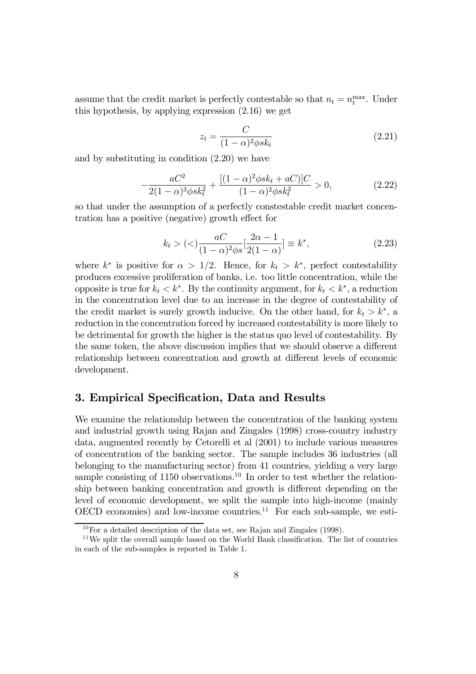assume that the credit market is perfectly contestable so that  $n_t = n_t^{\max}$ . Under this hypothesis, by applying expression (2.16) we get

$$
z_t = \frac{C}{(1-\alpha)^2 \phi s k_t} \tag{2.21}
$$

and by substituting in condition (2.20) we have

$$
-\frac{aC^2}{2(1-\alpha)^3\phi sk_t^2} + \frac{[(1-\alpha)^2\phi sk_t + aC)]C}{(1-\alpha)^2\phi sk_t^2} > 0,
$$
\n(2.22)

so that under the assumption of a perfectly constestable credit market concentration has a positive (negative) growth effect for

$$
k_t > (\langle \rangle \frac{aC}{(1-\alpha)^2 \phi s} \left[\frac{2\alpha - 1}{2(1-\alpha)}\right] \equiv k^*, \tag{2.23}
$$

where  $k^*$  is positive for  $\alpha > 1/2$ . Hence, for  $k_t > k^*$ , perfect contestability produces excessive proliferation of banks, i.e. too little concentration, while the opposite is true for  $k_t < k^*$ . By the continuity argument, for  $k_t < k^*$ , a reduction in the concentration level due to an increase in the degree of contestability of the credit market is surely growth inducive. On the other hand, for  $k_t > k^*$ , a reduction in the concentration forced by increased contestability is more likely to be detrimental for growth the higher is the status quo level of contestability. By the same token, the above discussion implies that we should observe a different relationship between concentration and growth at different levels of economic development.

# 3. Empirical Specification, Data and Results

We examine the relationship between the concentration of the banking system and industrial growth using Rajan and Zingales (1998) cross-country industry data, augmented recently by Cetorelli et al (2001) to include various measures of concentration of the banking sector. The sample includes 36 industries (all belonging to the manufacturing sector) from 41 countries, yielding a very large sample consisting of 1150 observations.<sup>10</sup> In order to test whether the relationship between banking concentration and growth is different depending on the level of economic development, we split the sample into high-income (mainly OECD economies) and low-income countries.<sup>11</sup> For each sub-sample, we esti-

 $10$  For a detailed description of the data set, see Rajan and Zingales (1998).

<sup>&</sup>lt;sup>11</sup>We split the overall sample based on the World Bank classification. The list of countries in each of the sub-samples is reported in Table 1.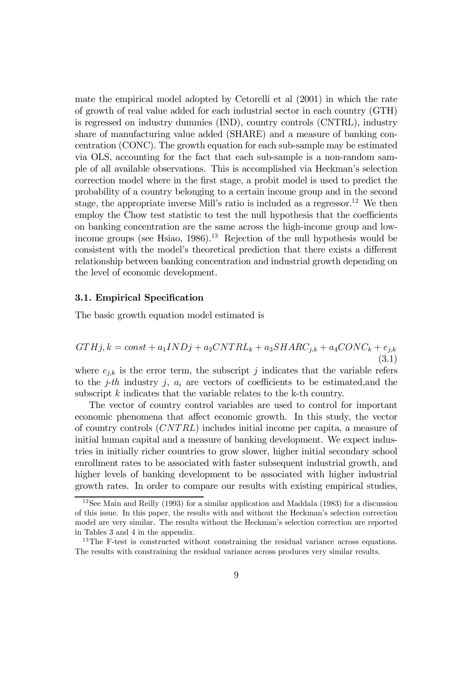mate the empirical model adopted by Cetorelli et al (2001) in which the rate of growth of real value added for each industrial sector in each country (GTH) is regressed on industry dummies (IND), country controls (CNTRL), industry share of manufacturing value added (SHARE) and a measure of banking concentration (CONC). The growth equation for each sub-sample may be estimated via OLS, accounting for the fact that each sub-sample is a non-random sample of all available observations. This is accomplished via Heckman's selection correction model where in the first stage, a probit model is used to predict the probability of a country belonging to a certain income group and in the second stage, the appropriate inverse Mill's ratio is included as a regressor.<sup>12</sup> We then employ the Chow test statistic to test the null hypothesis that the coefficients on banking concentration are the same across the high-income group and lowincome groups (see Hsiao,  $1986$ ).<sup>13</sup> Rejection of the null hypothesis would be consistent with the model's theoretical prediction that there exists a different relationship between banking concentration and industrial growth depending on the level of economic development.

# 3.1. Empirical Specification

The basic growth equation model estimated is

$$
GTHj, k = const + a_1INDj + a_2CNTRL_k + a_3SHARC_{j,k} + a_4CONC_k + e_{j,k}
$$
\n
$$
(3.1)
$$

where  $e_{j,k}$  is the error term, the subscript j indicates that the variable refers to the j-th industry j,  $a_i$  are vectors of coefficients to be estimated, and the subscript k indicates that the variable relates to the k-th country.

The vector of country control variables are used to control for important economic phenomena that affect economic growth. In this study, the vector of country controls (CNT RL) includes initial income per capita, a measure of initial human capital and a measure of banking development. We expect industries in initially richer countries to grow slower, higher initial secondary school enrollment rates to be associated with faster subsequent industrial growth, and higher levels of banking development to be associated with higher industrial growth rates. In order to compare our results with existing empirical studies,

 $12$ See Main and Reilly (1993) for a similar application and Maddala (1983) for a discussion of this issue. In this paper, the results with and without the Heckmanís selection correction model are very similar. The results without the Heckman's selection correction are reported in Tables 3 and 4 in the appendix.

<sup>&</sup>lt;sup>13</sup>The F-test is constructed without constraining the residual variance across equations. The results with constraining the residual variance across produces very similar results.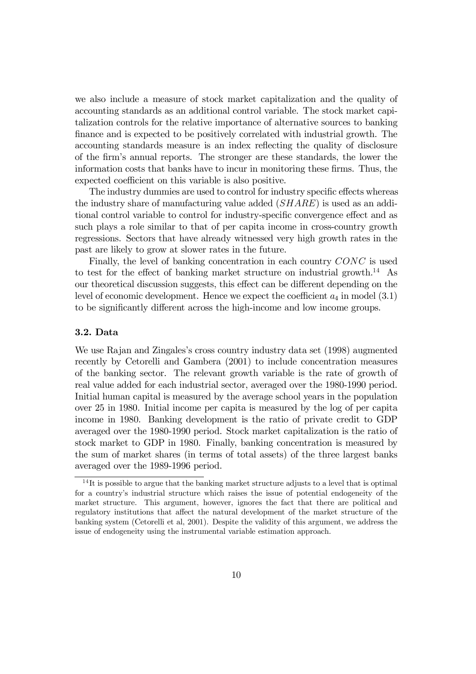we also include a measure of stock market capitalization and the quality of accounting standards as an additional control variable. The stock market capitalization controls for the relative importance of alternative sources to banking finance and is expected to be positively correlated with industrial growth. The accounting standards measure is an index reflecting the quality of disclosure of the firmís annual reports. The stronger are these standards, the lower the information costs that banks have to incur in monitoring these firms. Thus, the expected coefficient on this variable is also positive.

The industry dummies are used to control for industry specific effects whereas the industry share of manufacturing value added (SHARE) is used as an additional control variable to control for industry-specific convergence effect and as such plays a role similar to that of per capita income in cross-country growth regressions. Sectors that have already witnessed very high growth rates in the past are likely to grow at slower rates in the future.

Finally, the level of banking concentration in each country CONC is used to test for the effect of banking market structure on industrial growth.<sup>14</sup> As our theoretical discussion suggests, this effect can be different depending on the level of economic development. Hence we expect the coefficient  $a_4$  in model  $(3.1)$ to be significantly different across the high-income and low income groups.

# 3.2. Data

We use Rajan and Zingales's cross country industry data set (1998) augmented recently by Cetorelli and Gambera (2001) to include concentration measures of the banking sector. The relevant growth variable is the rate of growth of real value added for each industrial sector, averaged over the 1980-1990 period. Initial human capital is measured by the average school years in the population over 25 in 1980. Initial income per capita is measured by the log of per capita income in 1980. Banking development is the ratio of private credit to GDP averaged over the 1980-1990 period. Stock market capitalization is the ratio of stock market to GDP in 1980. Finally, banking concentration is measured by the sum of market shares (in terms of total assets) of the three largest banks averaged over the 1989-1996 period.

 $14$ It is possible to argue that the banking market structure adjusts to a level that is optimal for a countryís industrial structure which raises the issue of potential endogeneity of the market structure. This argument, however, ignores the fact that there are political and regulatory institutions that affect the natural development of the market structure of the banking system (Cetorelli et al, 2001). Despite the validity of this argument, we address the issue of endogeneity using the instrumental variable estimation approach.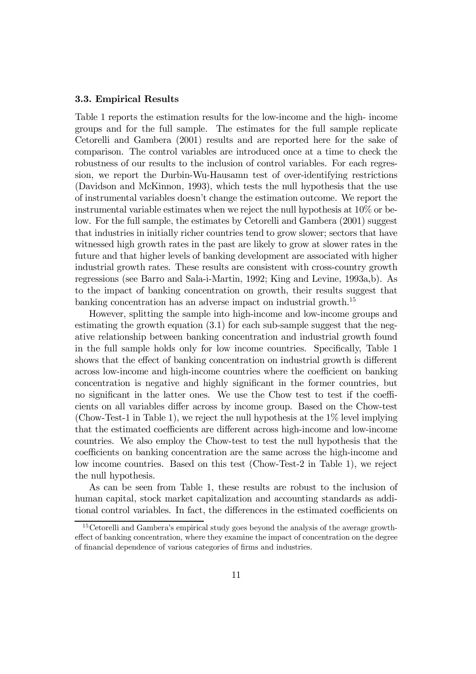# 3.3. Empirical Results

Table 1 reports the estimation results for the low-income and the high- income groups and for the full sample. The estimates for the full sample replicate Cetorelli and Gambera (2001) results and are reported here for the sake of comparison. The control variables are introduced once at a time to check the robustness of our results to the inclusion of control variables. For each regression, we report the Durbin-Wu-Hausamn test of over-identifying restrictions (Davidson and McKinnon, 1993), which tests the null hypothesis that the use of instrumental variables doesnít change the estimation outcome. We report the instrumental variable estimates when we reject the null hypothesis at 10% or below. For the full sample, the estimates by Cetorelli and Gambera (2001) suggest that industries in initially richer countries tend to grow slower; sectors that have witnessed high growth rates in the past are likely to grow at slower rates in the future and that higher levels of banking development are associated with higher industrial growth rates. These results are consistent with cross-country growth regressions (see Barro and Sala-i-Martin, 1992; King and Levine, 1993a,b). As to the impact of banking concentration on growth, their results suggest that banking concentration has an adverse impact on industrial growth.<sup>15</sup>

However, splitting the sample into high-income and low-income groups and estimating the growth equation (3.1) for each sub-sample suggest that the negative relationship between banking concentration and industrial growth found in the full sample holds only for low income countries. Specifically, Table 1 shows that the effect of banking concentration on industrial growth is different across low-income and high-income countries where the coefficient on banking concentration is negative and highly significant in the former countries, but no significant in the latter ones. We use the Chow test to test if the coefficients on all variables differ across by income group. Based on the Chow-test (Chow-Test-1 in Table 1), we reject the null hypothesis at the 1% level implying that the estimated coefficients are different across high-income and low-income countries. We also employ the Chow-test to test the null hypothesis that the coefficients on banking concentration are the same across the high-income and low income countries. Based on this test (Chow-Test-2 in Table 1), we reject the null hypothesis.

As can be seen from Table 1, these results are robust to the inclusion of human capital, stock market capitalization and accounting standards as additional control variables. In fact, the differences in the estimated coefficients on

<sup>&</sup>lt;sup>15</sup> Cetorelli and Gambera's empirical study goes beyond the analysis of the average growtheffect of banking concentration, where they examine the impact of concentration on the degree of financial dependence of various categories of firms and industries.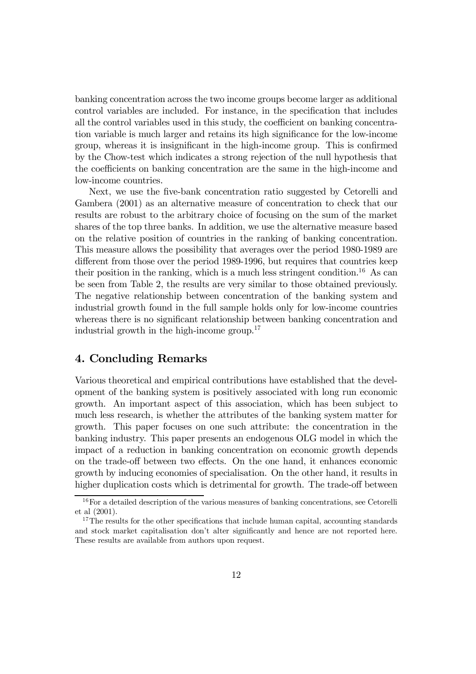banking concentration across the two income groups become larger as additional control variables are included. For instance, in the specification that includes all the control variables used in this study, the coefficient on banking concentration variable is much larger and retains its high significance for the low-income group, whereas it is insignificant in the high-income group. This is confirmed by the Chow-test which indicates a strong rejection of the null hypothesis that the coefficients on banking concentration are the same in the high-income and low-income countries.

Next, we use the five-bank concentration ratio suggested by Cetorelli and Gambera (2001) as an alternative measure of concentration to check that our results are robust to the arbitrary choice of focusing on the sum of the market shares of the top three banks. In addition, we use the alternative measure based on the relative position of countries in the ranking of banking concentration. This measure allows the possibility that averages over the period 1980-1989 are different from those over the period 1989-1996, but requires that countries keep their position in the ranking, which is a much less stringent condition.<sup>16</sup> As can be seen from Table 2, the results are very similar to those obtained previously. The negative relationship between concentration of the banking system and industrial growth found in the full sample holds only for low-income countries whereas there is no significant relationship between banking concentration and industrial growth in the high-income group.<sup>17</sup>

# 4. Concluding Remarks

Various theoretical and empirical contributions have established that the development of the banking system is positively associated with long run economic growth. An important aspect of this association, which has been subject to much less research, is whether the attributes of the banking system matter for growth. This paper focuses on one such attribute: the concentration in the banking industry. This paper presents an endogenous OLG model in which the impact of a reduction in banking concentration on economic growth depends on the trade-off between two effects. On the one hand, it enhances economic growth by inducing economies of specialisation. On the other hand, it results in higher duplication costs which is detrimental for growth. The trade-off between

<sup>&</sup>lt;sup>16</sup>For a detailed description of the various measures of banking concentrations, see Cetorelli et al (2001).

<sup>&</sup>lt;sup>17</sup>The results for the other specifications that include human capital, accounting standards and stock market capitalisation don't alter significantly and hence are not reported here. These results are available from authors upon request.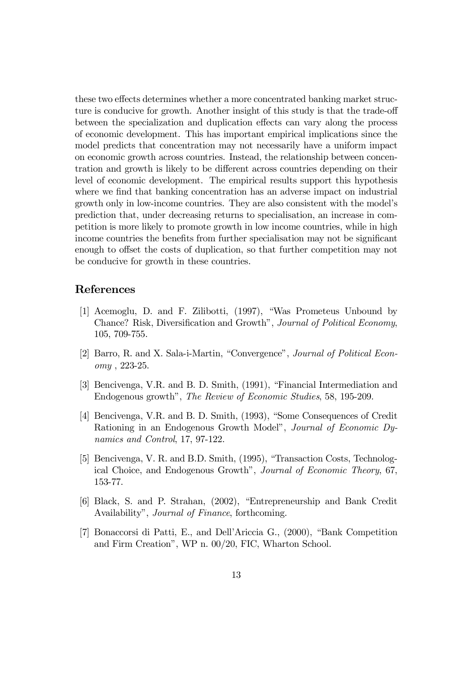these two effects determines whether a more concentrated banking market structure is conducive for growth. Another insight of this study is that the trade-off between the specialization and duplication effects can vary along the process of economic development. This has important empirical implications since the model predicts that concentration may not necessarily have a uniform impact on economic growth across countries. Instead, the relationship between concentration and growth is likely to be different across countries depending on their level of economic development. The empirical results support this hypothesis where we find that banking concentration has an adverse impact on industrial growth only in low-income countries. They are also consistent with the model's prediction that, under decreasing returns to specialisation, an increase in competition is more likely to promote growth in low income countries, while in high income countries the benefits from further specialisation may not be significant enough to offset the costs of duplication, so that further competition may not be conducive for growth in these countries.

# References

- [1] Acemoglu, D. and F. Zilibotti, (1997), "Was Prometeus Unbound by Chance? Risk, Diversification and Growth", Journal of Political Economy, 105, 709-755.
- [2] Barro, R. and X. Sala-i-Martin, "Convergence", Journal of Political Economy , 223-25.
- [3] Bencivenga, V.R. and B. D. Smith, (1991), "Financial Intermediation and Endogenous growth", The Review of Economic Studies, 58, 195-209.
- [4] Bencivenga, V.R. and B. D. Smith, (1993), "Some Consequences of Credit Rationing in an Endogenous Growth Model", *Journal of Economic Dy*namics and Control, 17, 97-122.
- [5] Bencivenga, V. R. and B.D. Smith, (1995), "Transaction Costs, Technological Choice, and Endogenous Growth", Journal of Economic Theory, 67, 153-77.
- [6] Black, S. and P. Strahan, (2002), "Entrepreneurship and Bank Credit Availability", *Journal of Finance*, forthcoming.
- [7] Bonaccorsi di Patti, E., and Dell'Ariccia G.,  $(2000)$ , "Bank Competition" and Firm Creation", WP n. 00/20, FIC, Wharton School.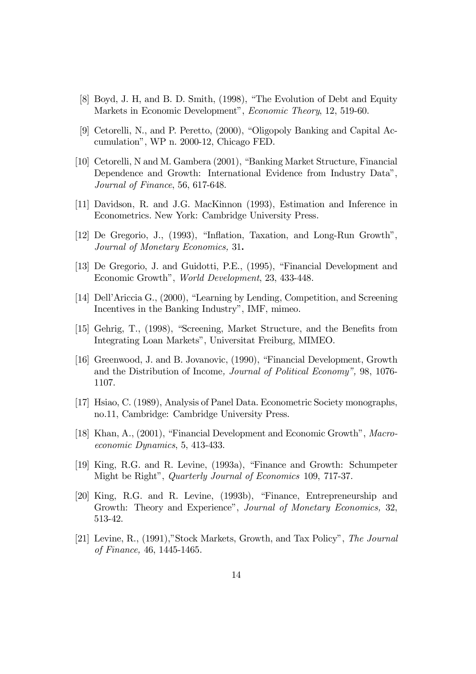- [8] Boyd, J. H, and B. D. Smith, (1998), "The Evolution of Debt and Equity Markets in Economic Development", Economic Theory, 12, 519-60.
- [9] Cetorelli, N., and P. Peretto, (2000), "Oligopoly Banking and Capital Accumulationî, WP n. 2000-12, Chicago FED.
- [10] Cetorelli, N and M. Gambera (2001), "Banking Market Structure, Financial Dependence and Growth: International Evidence from Industry Data", Journal of Finance, 56, 617-648.
- [11] Davidson, R. and J.G. MacKinnon (1993), Estimation and Inference in Econometrics. New York: Cambridge University Press.
- [12] De Gregorio, J.,  $(1993)$ , "Inflation, Taxation, and Long-Run Growth", Journal of Monetary Economics, 31.
- [13] De Gregorio, J. and Guidotti, P.E., (1995), "Financial Development and Economic Growth", World Development, 23, 433-448.
- [14] Dell'Ariccia G., (2000), "Learning by Lending, Competition, and Screening Incentives in the Banking Industry", IMF, mimeo.
- [15] Gehrig, T., (1998), "Screening, Market Structure, and the Benefits from Integrating Loan Markets", Universitat Freiburg, MIMEO.
- [16] Greenwood, J. and B. Jovanovic, (1990), "Financial Development, Growth and the Distribution of Income, Journal of Political Economy", 98, 1076-1107.
- [17] Hsiao, C. (1989), Analysis of Panel Data. Econometric Society monographs, no.11, Cambridge: Cambridge University Press.
- [18] Khan, A.,  $(2001)$ , "Financial Development and Economic Growth", Macroeconomic Dynamics, 5, 413-433.
- [19] King, R.G. and R. Levine,  $(1993a)$ , "Finance and Growth: Schumpeter Might be Right", Quarterly Journal of Economics 109, 717-37.
- $[20]$  King, R.G. and R. Levine,  $(1993b)$ , "Finance, Entrepreneurship and Growth: Theory and Experience", Journal of Monetary Economics, 32, 513-42.
- [21] Levine, R.,  $(1991)$ , "Stock Markets, Growth, and Tax Policy", The Journal of Finance, 46, 1445-1465.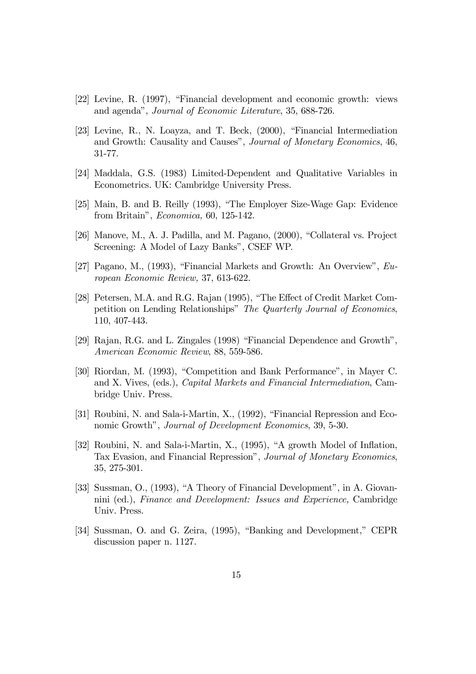- [22] Levine, R. (1997), "Financial development and economic growth: views and agendaî, Journal of Economic Literature, 35, 688-726.
- [23] Levine, R., N. Loayza, and T. Beck,  $(2000)$ , "Financial Intermediation and Growth: Causality and Causes", Journal of Monetary Economics, 46, 31-77.
- [24] Maddala, G.S. (1983) Limited-Dependent and Qualitative Variables in Econometrics. UK: Cambridge University Press.
- [25] Main, B. and B. Reilly (1993), "The Employer Size-Wage Gap: Evidence from Britainî, Economica, 60, 125-142.
- [ $26$ ] Manove, M., A. J. Padilla, and M. Pagano,  $(2000)$ , "Collateral vs. Project Screening: A Model of Lazy Banks", CSEF WP.
- [27] Pagano, M., (1993), "Financial Markets and Growth: An Overview",  $Eu$ ropean Economic Review, 37, 613-622.
- [28] Petersen, M.A. and R.G. Rajan (1995), "The Effect of Credit Market Competition on Lending Relationships" The Quarterly Journal of Economics, 110, 407-443.
- [29] Rajan, R.G. and L. Zingales (1998) "Financial Dependence and Growth", American Economic Review, 88, 559-586.
- [30] Riordan, M. (1993), "Competition and Bank Performance", in Mayer C. and X. Vives, (eds.), Capital Markets and Financial Intermediation, Cambridge Univ. Press.
- [31] Roubini, N. and Sala-i-Martin, X.,  $(1992)$ , "Financial Repression and Economic Growth", Journal of Development Economics, 39, 5-30.
- [32] Roubini, N. and Sala-i-Martin, X., (1995), "A growth Model of Inflation, Tax Evasion, and Financial Repression", Journal of Monetary Economics, 35, 275-301.
- [33] Sussman, O., (1993), "A Theory of Financial Development", in A. Giovannini (ed.), Finance and Development: Issues and Experience, Cambridge Univ. Press.
- [34] Sussman, O. and G. Zeira, (1995), "Banking and Development," CEPR discussion paper n. 1127.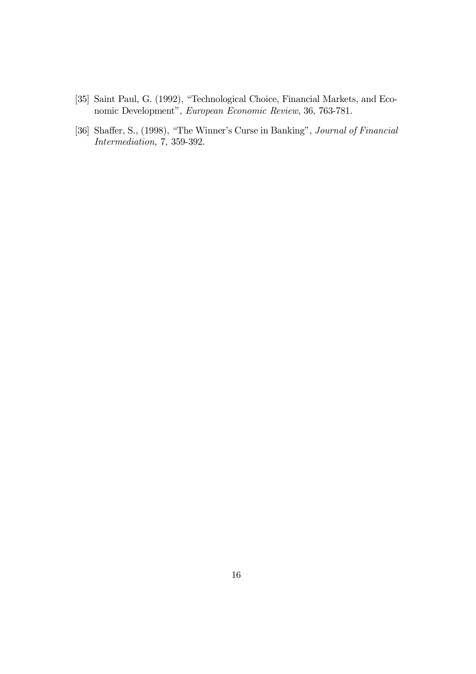- $[35]$  Saint Paul, G.  $(1992)$ , "Technological Choice, Financial Markets, and Economic Development", European Economic Review, 36, 763-781.
- [36] Shaffer, S., (1998), "The Winner's Curse in Banking", Journal of Financial Intermediation, 7, 359-392.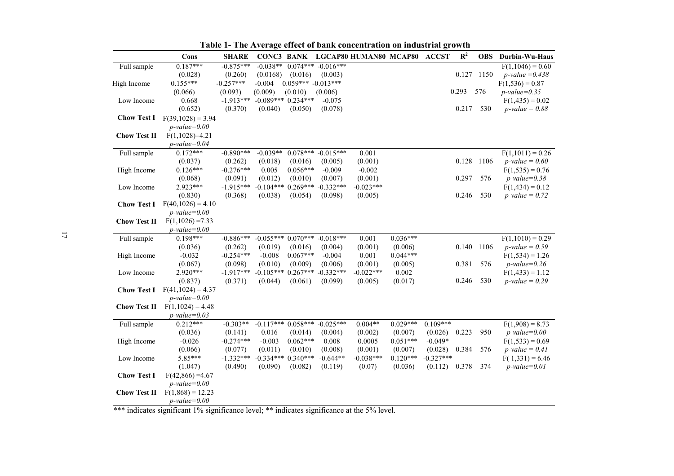|                     | Cons                | <b>SHARE</b> |                      |                      |             | CONC3 BANK LGCAP80 HUMAN80 MCAP80 |            | <b>ACCST</b> | $\mathbb{R}^2$ |      | <b>OBS</b> Durbin-Wu-Haus |
|---------------------|---------------------|--------------|----------------------|----------------------|-------------|-----------------------------------|------------|--------------|----------------|------|---------------------------|
| Full sample         | $0.187***$          | $-0.875***$  | $-0.038**$           | $0.074***$           | $-0.016***$ |                                   |            |              |                |      | $F(1,1046) = 0.60$        |
|                     | (0.028)             | (0.260)      | (0.0168)             | (0.016)              | (0.003)     |                                   |            |              | 0.127          | 1150 | <i>p</i> -value = $0.438$ |
| High Income         | $0.155***$          | $-0.257***$  | $-0.004$             | $0.059*** -0.013***$ |             |                                   |            |              |                |      | $F(1,536) = 0.87$         |
|                     | (0.066)             | (0.093)      | (0.009)              | (0.010)              | (0.006)     |                                   |            |              | 0.293          | 576  | $p$ -value=0.35           |
| Low Income          | 0.668               | $-1.913***$  | $-0.089***$ 0.234*** |                      | $-0.075$    |                                   |            |              |                |      | $F(1, 435) = 0.02$        |
|                     | (0.652)             | (0.370)      | (0.040)              | (0.050)              | (0.078)     |                                   |            |              | 0.217          | 530  | $p$ -value = 0.88         |
| <b>Chow Test I</b>  | $F(39,1028) = 3.94$ |              |                      |                      |             |                                   |            |              |                |      |                           |
|                     | $p$ -value=0.00     |              |                      |                      |             |                                   |            |              |                |      |                           |
| <b>Chow Test II</b> | $F(1,1028)=4.21$    |              |                      |                      |             |                                   |            |              |                |      |                           |
|                     | $p$ -value=0.04     |              |                      |                      |             |                                   |            |              |                |      |                           |
| Full sample         | $0.172***$          | $-0.890***$  | $-0.039**$           | $0.078***$           | $-0.015***$ | 0.001                             |            |              |                |      | $F(1,1011) = 0.26$        |
|                     | (0.037)             | (0.262)      | (0.018)              | (0.016)              | (0.005)     | (0.001)                           |            |              | 0.128          | 1106 | $p$ -value = 0.60         |
| High Income         | $0.126***$          | $-0.276***$  | 0.005                | $0.056***$           | $-0.009$    | $-0.002$                          |            |              |                |      | $F(1,535) = 0.76$         |
|                     | (0.068)             | (0.091)      | (0.012)              | (0.010)              | (0.007)     | (0.001)                           |            |              | 0.297          | 576  | $p$ -value=0.38           |
| Low Income          | 2.923***            | $-1.915***$  | $-0.104***$ 0.269*** |                      | $-0.332***$ | $-0.023***$                       |            |              |                |      | $F(1, 434) = 0.12$        |
|                     | (0.830)             | (0.368)      | (0.038)              | (0.054)              | (0.098)     | (0.005)                           |            |              | 0.246          | 530  | $p$ -value = 0.72         |
| <b>Chow Test I</b>  | $F(40,1026) = 4.10$ |              |                      |                      |             |                                   |            |              |                |      |                           |
|                     | $p$ -value=0.00     |              |                      |                      |             |                                   |            |              |                |      |                           |
| <b>Chow Test II</b> | $F(1,1026) = 7.33$  |              |                      |                      |             |                                   |            |              |                |      |                           |
|                     | $p$ -value=0.00     |              |                      |                      |             |                                   |            |              |                |      |                           |
| Full sample         | $0.198***$          | $-0.886***$  | $-0.055***0.070***$  |                      | $-0.018***$ | 0.001                             | $0.036***$ |              |                |      | $F(1,1010) = 0.29$        |
|                     | (0.036)             | (0.262)      | (0.019)              | (0.016)              | (0.004)     | (0.001)                           | (0.006)    |              | 0.140          | 1106 | $p$ -value = 0.59         |
| High Income         | $-0.032$            | $-0.254***$  | $-0.008$             | $0.067***$           | $-0.004$    | 0.001                             | $0.044***$ |              |                |      | $F(1,534) = 1.26$         |
|                     | (0.067)             | (0.098)      | (0.010)              | (0.009)              | (0.006)     | (0.001)                           | (0.005)    |              | 0.381          | 576  | $p$ -value=0.26           |
| Low Income          | $2.920***$          | $-1.917***$  | $-0.105***$ 0.267*** |                      | $-0.332***$ | $-0.022***$                       | 0.002      |              |                |      | $F(1, 433) = 1.12$        |
|                     | (0.837)             | (0.371)      | (0.044)              | (0.061)              | (0.099)     | (0.005)                           | (0.017)    |              | 0.246          | 530  | $p$ -value = 0.29         |
| <b>Chow Test I</b>  | $F(41,1024) = 4.37$ |              |                      |                      |             |                                   |            |              |                |      |                           |
|                     | $p$ -value=0.00     |              |                      |                      |             |                                   |            |              |                |      |                           |
| <b>Chow Test II</b> | $F(1,1024) = 4.48$  |              |                      |                      |             |                                   |            |              |                |      |                           |
|                     | $p$ -value=0.03     |              |                      |                      |             |                                   |            |              |                |      |                           |
| Full sample         | $0.212***$          | $-0.303**$   | $-0.117***$ 0.058*** |                      | $-0.025***$ | $0.004**$                         | $0.029***$ | $0.109***$   |                |      | $F(1,908) = 8.73$         |
|                     | (0.036)             | (0.141)      | 0.016                | (0.014)              | (0.004)     | (0.002)                           | (0.007)    | (0.026)      | 0.223          | 950  | $p$ -value=0.00           |
| High Income         | $-0.026$            | $-0.274***$  | $-0.003$             | $0.062***$           | 0.008       | 0.0005                            | $0.051***$ | $-0.049*$    |                |      | $F(1,533) = 0.69$         |
|                     | (0.066)             | (0.077)      | (0.011)              | (0.010)              | (0.008)     | (0.001)                           | (0.007)    | (0.028)      | 0.384          | 576  | $p$ -value = 0.41         |
| Low Income          | 5.85***             | $-1.332***$  | $-0.334***$ 0.340*** |                      | $-0.644**$  | $-0.038***$                       | $0.120***$ | $-0.327***$  |                |      | $F(1,331) = 6.46$         |
|                     | (1.047)             | (0.490)      | (0.090)              | (0.082)              | (0.119)     | (0.07)                            | (0.036)    | (0.112)      | 0.378          | 374  | $p$ -value=0.01           |
| <b>Chow Test I</b>  | $F(42,866) = 4.67$  |              |                      |                      |             |                                   |            |              |                |      |                           |
|                     | $p$ -value=0.00     |              |                      |                      |             |                                   |            |              |                |      |                           |
| <b>Chow Test II</b> | $F(1,868) = 12.23$  |              |                      |                      |             |                                   |            |              |                |      |                           |
|                     | $p$ -value=0.00     |              |                      |                      |             |                                   |            |              |                |      |                           |

**Table 1- The Average effect of bank concentration on industrial growth** 

\*\*\* indicates significant 1% significance level; \*\* indicates significance at the 5% level.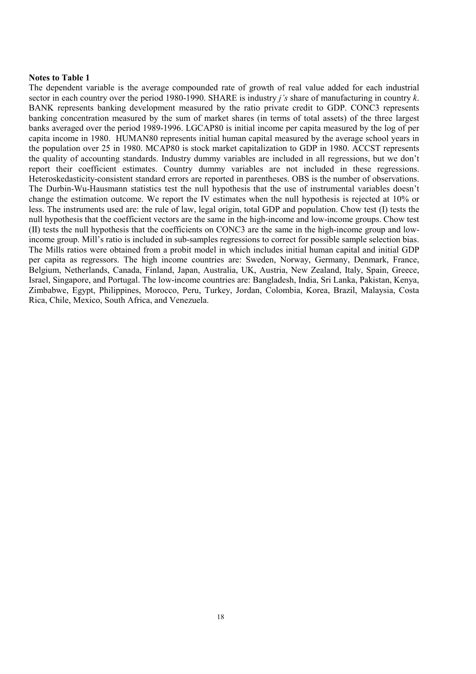## **Notes to Table 1**

The dependent variable is the average compounded rate of growth of real value added for each industrial sector in each country over the period 1980-1990. SHARE is industry *jís* share of manufacturing in country *k*. BANK represents banking development measured by the ratio private credit to GDP. CONC3 represents banking concentration measured by the sum of market shares (in terms of total assets) of the three largest banks averaged over the period 1989-1996. LGCAP80 is initial income per capita measured by the log of per capita income in 1980. HUMAN80 represents initial human capital measured by the average school years in the population over 25 in 1980. MCAP80 is stock market capitalization to GDP in 1980. ACCST represents the quality of accounting standards. Industry dummy variables are included in all regressions, but we don't report their coefficient estimates. Country dummy variables are not included in these regressions. Heteroskedasticity-consistent standard errors are reported in parentheses. OBS is the number of observations. The Durbin-Wu-Hausmann statistics test the null hypothesis that the use of instrumental variables doesn't change the estimation outcome. We report the IV estimates when the null hypothesis is rejected at 10% or less. The instruments used are: the rule of law, legal origin, total GDP and population. Chow test (I) tests the null hypothesis that the coefficient vectors are the same in the high-income and low-income groups. Chow test (II) tests the null hypothesis that the coefficients on CONC3 are the same in the high-income group and lowincome group. Mill's ratio is included in sub-samples regressions to correct for possible sample selection bias. The Mills ratios were obtained from a probit model in which includes initial human capital and initial GDP per capita as regressors. The high income countries are: Sweden, Norway, Germany, Denmark, France, Belgium, Netherlands, Canada, Finland, Japan, Australia, UK, Austria, New Zealand, Italy, Spain, Greece, Israel, Singapore, and Portugal. The low-income countries are: Bangladesh, India, Sri Lanka, Pakistan, Kenya, Zimbabwe, Egypt, Philippines, Morocco, Peru, Turkey, Jordan, Colombia, Korea, Brazil, Malaysia, Costa Rica, Chile, Mexico, South Africa, and Venezuela.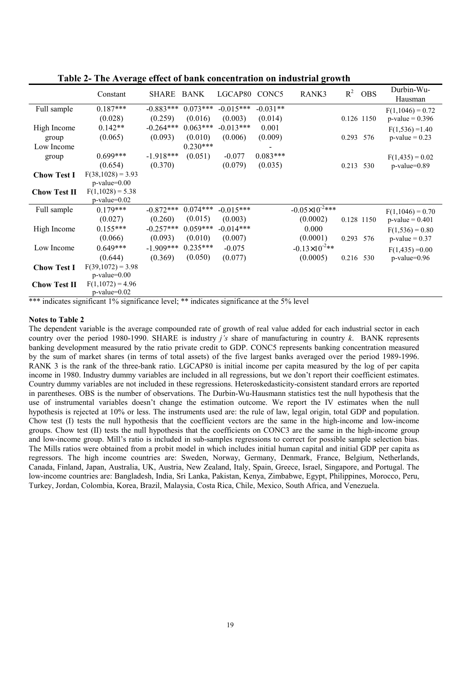|                     |                                 |            |                    |            |                              |                                     |                                                                                                             | Durbin-Wu-                                                                         |
|---------------------|---------------------------------|------------|--------------------|------------|------------------------------|-------------------------------------|-------------------------------------------------------------------------------------------------------------|------------------------------------------------------------------------------------|
|                     |                                 |            |                    |            |                              |                                     |                                                                                                             | Hausman                                                                            |
| $0.187***$          | $-0.883***$                     | $0.073***$ | $-0.015***$        | $-0.031**$ |                              |                                     |                                                                                                             | $F(1,1046) = 0.72$                                                                 |
| (0.028)             | (0.259)                         | (0.016)    | (0.003)            | (0.014)    |                              |                                     |                                                                                                             | $p-value = 0.396$                                                                  |
| $0.142**$           | $-0.264***$                     | $0.063***$ | $-0.013***$        | 0.001      |                              |                                     |                                                                                                             | $F(1,536) = 1.40$                                                                  |
| (0.065)             | (0.093)                         | (0.010)    | (0.006)            | (0.009)    |                              |                                     | 576                                                                                                         | $p-value = 0.23$                                                                   |
|                     |                                 | $0.230***$ |                    |            |                              |                                     |                                                                                                             |                                                                                    |
| $0.699***$          | $-1.918***$                     | (0.051)    | $-0.077$           | $0.083***$ |                              |                                     |                                                                                                             | $F(1, 435) = 0.02$                                                                 |
| (0.654)             | (0.370)                         |            | (0.079)            | (0.035)    |                              |                                     | 530                                                                                                         | $p-value=0.89$                                                                     |
| $F(38,1028) = 3.93$ |                                 |            |                    |            |                              |                                     |                                                                                                             |                                                                                    |
| $p-value=0.00$      |                                 |            |                    |            |                              |                                     |                                                                                                             |                                                                                    |
| $F(1,1028) = 5.38$  |                                 |            |                    |            |                              |                                     |                                                                                                             |                                                                                    |
| $p$ -value= $0.02$  |                                 |            |                    |            |                              |                                     |                                                                                                             |                                                                                    |
| $0.179***$          | $-0.872***$                     |            | $-0.015***$        |            |                              |                                     |                                                                                                             | $F(1,1046) = 0.70$                                                                 |
| (0.027)             | (0.260)                         | (0.015)    | (0.003)            |            | (0.0002)                     |                                     |                                                                                                             | $p$ -value = 0.401                                                                 |
| $0.155***$          | $-0.257***$                     | $0.059***$ | $-0.014***$        |            | 0.000                        |                                     |                                                                                                             | $F(1,536) = 0.80$                                                                  |
| (0.066)             | (0.093)                         | (0.010)    | (0.007)            |            | (0.0001)                     |                                     |                                                                                                             | $p$ -value = 0.37                                                                  |
| $0.649***$          | $-1.909***$                     | $0.235***$ | $-0.075$           |            | $-0.13\times10^{-2}$ **      |                                     |                                                                                                             | $F(1, 435) = 0.00$                                                                 |
| (0.644)             | (0.369)                         | (0.050)    | (0.077)            |            | (0.0005)                     |                                     |                                                                                                             | $p-value=0.96$                                                                     |
|                     |                                 |            |                    |            |                              |                                     |                                                                                                             |                                                                                    |
| $p-value=0.00$      |                                 |            |                    |            |                              |                                     |                                                                                                             |                                                                                    |
| $F(1,1072) = 4.96$  |                                 |            |                    |            |                              |                                     |                                                                                                             |                                                                                    |
| $p$ -value= $0.02$  |                                 |            |                    |            |                              |                                     |                                                                                                             |                                                                                    |
|                     | Constant<br>$F(39,1072) = 3.98$ | SHARE      | BANK<br>$0.074***$ |            | LGCAP80<br>CONC <sub>5</sub> | RANK3<br>$-0.05 \times 10^{-2}$ *** | $R^2$<br>*** indicates significant $10/2$ significance level: ** indicates significance at the $50/2$ level | <b>OBS</b><br>0.126 1150<br>0.293<br>0.213<br>0.128 1150<br>0.293 576<br>0.216 530 |

**Table 2- The Average effect of bank concentration on industrial growth** 

indicates significant 1% significance level; \*\* indicates significance at the 5% level

# **Notes to Table 2**

The dependent variable is the average compounded rate of growth of real value added for each industrial sector in each country over the period 1980-1990. SHARE is industry *jís* share of manufacturing in country *k*. BANK represents banking development measured by the ratio private credit to GDP. CONC5 represents banking concentration measured by the sum of market shares (in terms of total assets) of the five largest banks averaged over the period 1989-1996. RANK 3 is the rank of the three-bank ratio. LGCAP80 is initial income per capita measured by the log of per capita income in 1980. Industry dummy variables are included in all regressions, but we donít report their coefficient estimates. Country dummy variables are not included in these regressions. Heteroskedasticity-consistent standard errors are reported in parentheses. OBS is the number of observations. The Durbin-Wu-Hausmann statistics test the null hypothesis that the use of instrumental variables doesn't change the estimation outcome. We report the IV estimates when the null hypothesis is rejected at 10% or less. The instruments used are: the rule of law, legal origin, total GDP and population. Chow test (I) tests the null hypothesis that the coefficient vectors are the same in the high-income and low-income groups. Chow test (II) tests the null hypothesis that the coefficients on CONC3 are the same in the high-income group and low-income group. Mill's ratio is included in sub-samples regressions to correct for possible sample selection bias. The Mills ratios were obtained from a probit model in which includes initial human capital and initial GDP per capita as regressors. The high income countries are: Sweden, Norway, Germany, Denmark, France, Belgium, Netherlands, Canada, Finland, Japan, Australia, UK, Austria, New Zealand, Italy, Spain, Greece, Israel, Singapore, and Portugal. The low-income countries are: Bangladesh, India, Sri Lanka, Pakistan, Kenya, Zimbabwe, Egypt, Philippines, Morocco, Peru, Turkey, Jordan, Colombia, Korea, Brazil, Malaysia, Costa Rica, Chile, Mexico, South Africa, and Venezuela.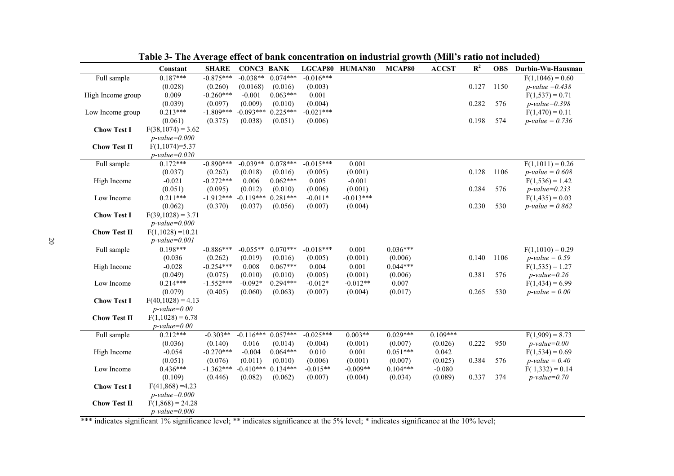|                     | Constant            | <b>SHARE</b> | <b>CONC3 BANK</b>    |            |             | LGCAP80 HUMAN80 | MCAP80     | <b>ACCST</b> | $\mathbf{R}^2$ | <b>OBS</b> | Durbin-Wu-Hausman         |
|---------------------|---------------------|--------------|----------------------|------------|-------------|-----------------|------------|--------------|----------------|------------|---------------------------|
| Full sample         | $0.187***$          | $-0.875***$  | $-0.038**$           | $0.074***$ | $-0.016***$ |                 |            |              |                |            | $F(1,1046) = 0.60$        |
|                     | (0.028)             | (0.260)      | (0.0168)             | (0.016)    | (0.003)     |                 |            |              | 0.127          | 1150       | <i>p</i> -value = $0.438$ |
| High Income group   | 0.009               | $-0.260***$  | $-0.001$             | $0.063***$ | 0.001       |                 |            |              |                |            | $F(1,537) = 0.71$         |
|                     | (0.039)             | (0.097)      | (0.009)              | (0.010)    | (0.004)     |                 |            |              | 0.282          | 576        | $p$ -value=0.398          |
| Low Income group    | $0.213***$          | $-1.809***$  | $-0.093***$          | $0.225***$ | $-0.021***$ |                 |            |              |                |            | $F(1,470) = 0.11$         |
|                     | (0.061)             | (0.375)      | (0.038)              | (0.051)    | (0.006)     |                 |            |              | 0.198          | 574        | $p$ -value = 0.736        |
| <b>Chow Test I</b>  | $F(38,1074) = 3.62$ |              |                      |            |             |                 |            |              |                |            |                           |
|                     | $p$ -value=0.000    |              |                      |            |             |                 |            |              |                |            |                           |
| <b>Chow Test II</b> | $F(1,1074)=5.37$    |              |                      |            |             |                 |            |              |                |            |                           |
|                     | $p$ -value=0.020    |              |                      |            |             |                 |            |              |                |            |                           |
| Full sample         | $0.172***$          | $-0.890***$  | $-0.039**$           | $0.078***$ | $-0.015***$ | 0.001           |            |              |                |            | $F(1,1011) = 0.26$        |
|                     | (0.037)             | (0.262)      | (0.018)              | (0.016)    | (0.005)     | (0.001)         |            |              | 0.128          | 1106       | <i>p</i> -value = $0.608$ |
| High Income         | $-0.021$            | $-0.272***$  | 0.006                | $0.062***$ | 0.005       | $-0.001$        |            |              |                |            | $F(1,536) = 1.42$         |
|                     | (0.051)             | (0.095)      | (0.012)              | (0.010)    | (0.006)     | (0.001)         |            |              | 0.284          | 576        | $p$ -value=0.233          |
| Low Income          | $0.211***$          | $-1.912***$  | $-0.119***$ 0.281*** |            | $-0.011*$   | $-0.013***$     |            |              |                |            | $F(1, 435) = 0.03$        |
|                     | (0.062)             | (0.370)      | (0.037)              | (0.056)    | (0.007)     | (0.004)         |            |              | 0.230          | 530        | <i>p</i> -value = $0.862$ |
| <b>Chow Test I</b>  | $F(39,1028) = 3.71$ |              |                      |            |             |                 |            |              |                |            |                           |
|                     | $p$ -value=0.000    |              |                      |            |             |                 |            |              |                |            |                           |
| <b>Chow Test II</b> | $F(1,1028) = 10.21$ |              |                      |            |             |                 |            |              |                |            |                           |
|                     | $p$ -value=0.001    |              |                      |            |             |                 |            |              |                |            |                           |
| Full sample         | $0.198***$          | $-0.886***$  | $-0.055**$           | $0.070***$ | $-0.018***$ | 0.001           | $0.036***$ |              |                |            | $F(1,1010) = 0.29$        |
|                     | (0.036)             | (0.262)      | (0.019)              | (0.016)    | (0.005)     | (0.001)         | (0.006)    |              | 0.140          | 1106       | $p$ -value = 0.59         |
| High Income         | $-0.028$            | $-0.254***$  | 0.008                | $0.067***$ | 0.004       | 0.001           | $0.044***$ |              |                |            | $F(1,535) = 1.27$         |
|                     | (0.049)             | (0.075)      | (0.010)              | (0.010)    | (0.005)     | (0.001)         | (0.006)    |              | 0.381          | 576        | $p$ -value=0.26           |
| Low Income          | $0.214***$          | $-1.552***$  | $-0.092*$            | $0.294***$ | $-0.012*$   | $-0.012**$      | 0.007      |              |                |            | $F(1, 434) = 6.99$        |
|                     | (0.079)             | (0.405)      | (0.060)              | (0.063)    | (0.007)     | (0.004)         | (0.017)    |              | 0.265          | 530        | $p$ -value = 0.00         |
| <b>Chow Test I</b>  | $F(40,1028) = 4.13$ |              |                      |            |             |                 |            |              |                |            |                           |
|                     | $p$ -value=0.00     |              |                      |            |             |                 |            |              |                |            |                           |
| <b>Chow Test II</b> | $F(1,1028) = 6.78$  |              |                      |            |             |                 |            |              |                |            |                           |
|                     | $p$ -value=0.00     |              |                      |            |             |                 |            |              |                |            |                           |
| Full sample         | $0.212***$          | $-0.303**$   | $-0.116***$ 0.057*** |            | $-0.025***$ | $0.003**$       | $0.029***$ | $0.109***$   |                |            | $F(1,909) = 8.73$         |
|                     | (0.036)             | (0.140)      | 0.016                | (0.014)    | (0.004)     | (0.001)         | (0.007)    | (0.026)      | 0.222          | 950        | $p$ -value=0.00           |
| High Income         | $-0.054$            | $-0.270***$  | $-0.004$             | $0.064***$ | 0.010       | 0.001           | $0.051***$ | 0.042        |                |            | $F(1,534) = 0.69$         |
|                     | (0.051)             | (0.076)      | (0.011)              | (0.010)    | (0.006)     | (0.001)         | (0.007)    | (0.025)      | 0.384          | 576        | $p$ -value = 0.40         |
| Low Income          | $0.436***$          | $-1.362***$  | $-0.410***$ 0.134*** |            | $-0.015**$  | $-0.009**$      | $0.104***$ | $-0.080$     |                |            | $F(1,332) = 0.14$         |
|                     | (0.109)             | (0.446)      | (0.082)              | (0.062)    | (0.007)     | (0.004)         | (0.034)    | (0.089)      | 0.337          | 374        | $p$ -value=0.70           |
| <b>Chow Test I</b>  | $F(41,868) = 4.23$  |              |                      |            |             |                 |            |              |                |            |                           |
|                     | $p$ -value=0.000    |              |                      |            |             |                 |            |              |                |            |                           |
| <b>Chow Test II</b> | $F(1,868) = 24.28$  |              |                      |            |             |                 |            |              |                |            |                           |
|                     | $p$ -value=0.000    |              |                      |            |             |                 |            |              |                |            |                           |
|                     |                     |              |                      |            |             |                 |            |              |                |            |                           |

Table 3- The Average effect of bank concentration on industrial growth (Mill's ratio not included)

\*\*\* indicates significant 1% significance level; \*\* indicates significance at the 5% level; \* indicates significance at the 10% level;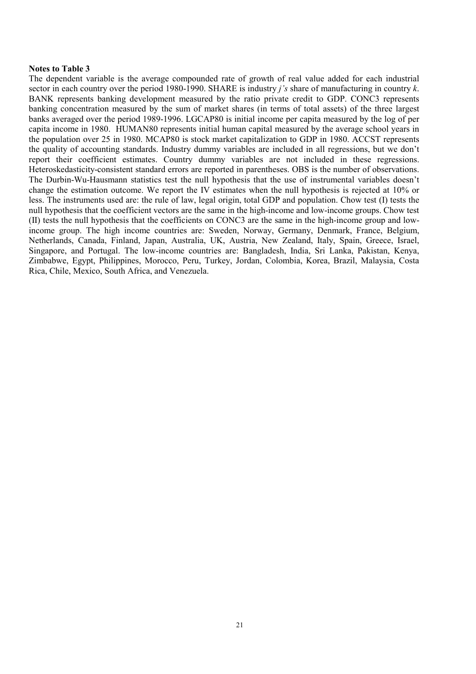# **Notes to Table 3**

The dependent variable is the average compounded rate of growth of real value added for each industrial sector in each country over the period 1980-1990. SHARE is industry *jís* share of manufacturing in country *k*. BANK represents banking development measured by the ratio private credit to GDP. CONC3 represents banking concentration measured by the sum of market shares (in terms of total assets) of the three largest banks averaged over the period 1989-1996. LGCAP80 is initial income per capita measured by the log of per capita income in 1980. HUMAN80 represents initial human capital measured by the average school years in the population over 25 in 1980. MCAP80 is stock market capitalization to GDP in 1980. ACCST represents the quality of accounting standards. Industry dummy variables are included in all regressions, but we donít report their coefficient estimates. Country dummy variables are not included in these regressions. Heteroskedasticity-consistent standard errors are reported in parentheses. OBS is the number of observations. The Durbin-Wu-Hausmann statistics test the null hypothesis that the use of instrumental variables doesn't change the estimation outcome. We report the IV estimates when the null hypothesis is rejected at 10% or less. The instruments used are: the rule of law, legal origin, total GDP and population. Chow test (I) tests the null hypothesis that the coefficient vectors are the same in the high-income and low-income groups. Chow test (II) tests the null hypothesis that the coefficients on CONC3 are the same in the high-income group and lowincome group. The high income countries are: Sweden, Norway, Germany, Denmark, France, Belgium, Netherlands, Canada, Finland, Japan, Australia, UK, Austria, New Zealand, Italy, Spain, Greece, Israel, Singapore, and Portugal. The low-income countries are: Bangladesh, India, Sri Lanka, Pakistan, Kenya, Zimbabwe, Egypt, Philippines, Morocco, Peru, Turkey, Jordan, Colombia, Korea, Brazil, Malaysia, Costa Rica, Chile, Mexico, South Africa, and Venezuela.